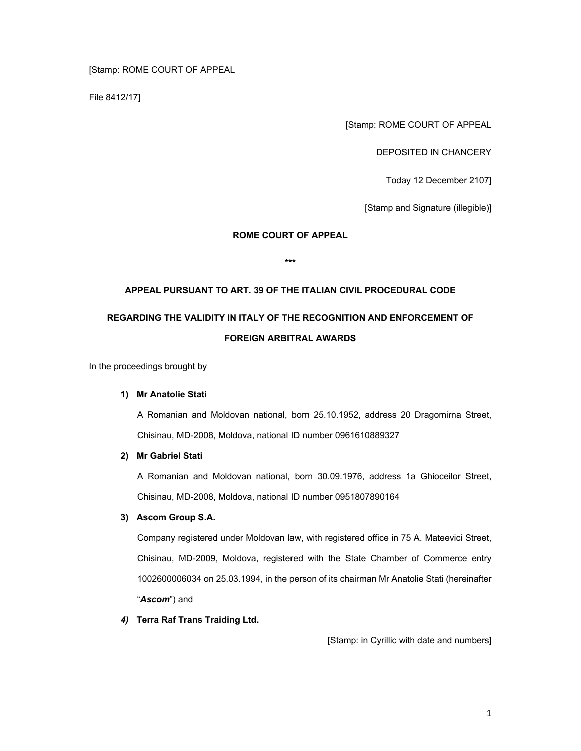# [Stamp: ROME COURT OF APPEAL

File 8412/17]

[Stamp: ROME COURT OF APPEAL

DEPOSITED IN CHANCERY

Today 12 December 2107]

[Stamp and Signature (illegible)]

# **ROME COURT OF APPEAL**

**\*\*\*** 

# **APPEAL PURSUANT TO ART. 39 OF THE ITALIAN CIVIL PROCEDURAL CODE REGARDING THE VALIDITY IN ITALY OF THE RECOGNITION AND ENFORCEMENT OF FOREIGN ARBITRAL AWARDS**

In the proceedings brought by

## **1) Mr Anatolie Stati**

A Romanian and Moldovan national, born 25.10.1952, address 20 Dragomirna Street, Chisinau, MD-2008, Moldova, national ID number 0961610889327

#### **2) Mr Gabriel Stati**

A Romanian and Moldovan national, born 30.09.1976, address 1a Ghioceilor Street, Chisinau, MD-2008, Moldova, national ID number 0951807890164

## **3) Ascom Group S.A.**

Company registered under Moldovan law, with registered office in 75 A. Mateevici Street, Chisinau, MD-2009, Moldova, registered with the State Chamber of Commerce entry 1002600006034 on 25.03.1994, in the person of its chairman Mr Anatolie Stati (hereinafter "*Ascom*") and

## *4)* **Terra Raf Trans Traiding Ltd.**

[Stamp: in Cyrillic with date and numbers]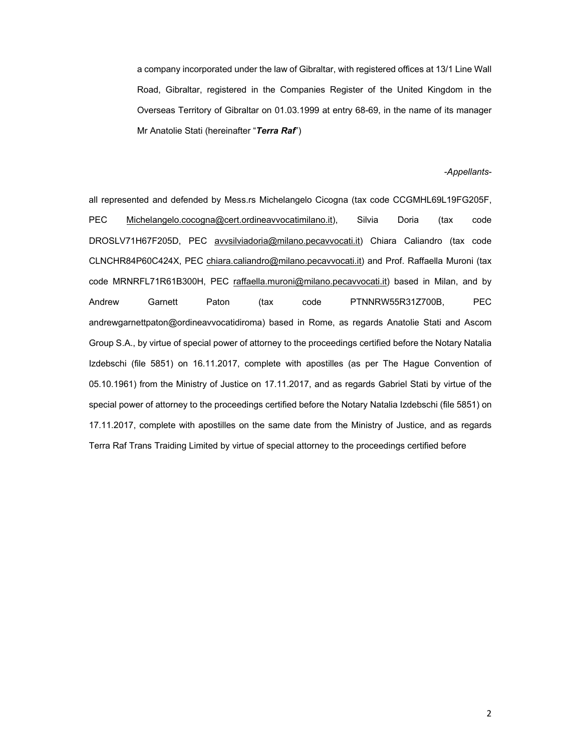a company incorporated under the law of Gibraltar, with registered offices at 13/1 Line Wall Road, Gibraltar, registered in the Companies Register of the United Kingdom in the Overseas Territory of Gibraltar on 01.03.1999 at entry 68-69, in the name of its manager Mr Anatolie Stati (hereinafter "*Terra Raf*")

#### *-Appellants*-

all represented and defended by Mess.rs Michelangelo Cicogna (tax code CCGMHL69L19FG205F, PEC Michelangelo.cocogna@cert.ordineavvocatimilano.it), Silvia Doria (tax code DROSLV71H67F205D, PEC avvsilviadoria@milano.pecavvocati.it) Chiara Caliandro (tax code CLNCHR84P60C424X, PEC chiara.caliandro@milano.pecavvocati.it) and Prof. Raffaella Muroni (tax code MRNRFL71R61B300H, PEC raffaella.muroni@milano.pecavvocati.it) based in Milan, and by Andrew Garnett Paton (tax code PTNNRW55R31Z700B, PEC andrewgarnettpaton@ordineavvocatidiroma) based in Rome, as regards Anatolie Stati and Ascom Group S.A., by virtue of special power of attorney to the proceedings certified before the Notary Natalia Izdebschi (file 5851) on 16.11.2017, complete with apostilles (as per The Hague Convention of 05.10.1961) from the Ministry of Justice on 17.11.2017, and as regards Gabriel Stati by virtue of the special power of attorney to the proceedings certified before the Notary Natalia Izdebschi (file 5851) on 17.11.2017, complete with apostilles on the same date from the Ministry of Justice, and as regards Terra Raf Trans Traiding Limited by virtue of special attorney to the proceedings certified before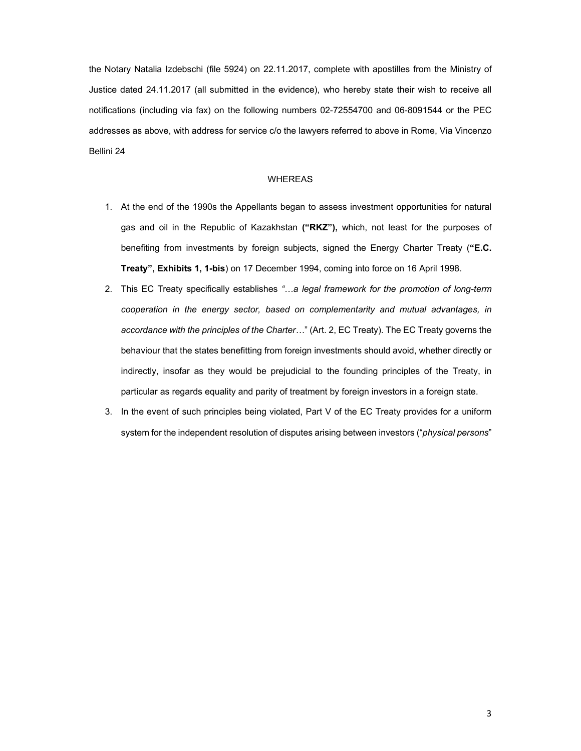the Notary Natalia Izdebschi (file 5924) on 22.11.2017, complete with apostilles from the Ministry of Justice dated 24.11.2017 (all submitted in the evidence), who hereby state their wish to receive all notifications (including via fax) on the following numbers 02-72554700 and 06-8091544 or the PEC addresses as above, with address for service c/o the lawyers referred to above in Rome, Via Vincenzo Bellini 24

#### WHEREAS

- 1. At the end of the 1990s the Appellants began to assess investment opportunities for natural gas and oil in the Republic of Kazakhstan **("RKZ"),** which, not least for the purposes of benefiting from investments by foreign subjects, signed the Energy Charter Treaty (**"E.C. Treaty", Exhibits 1, 1-bis**) on 17 December 1994, coming into force on 16 April 1998.
- 2. This EC Treaty specifically establishes *"…a legal framework for the promotion of long-term cooperation in the energy sector, based on complementarity and mutual advantages, in accordance with the principles of the Charter…*" (Art. 2, EC Treaty). The EC Treaty governs the behaviour that the states benefitting from foreign investments should avoid, whether directly or indirectly, insofar as they would be prejudicial to the founding principles of the Treaty, in particular as regards equality and parity of treatment by foreign investors in a foreign state.
- 3. In the event of such principles being violated, Part V of the EC Treaty provides for a uniform system for the independent resolution of disputes arising between investors ("*physical persons*"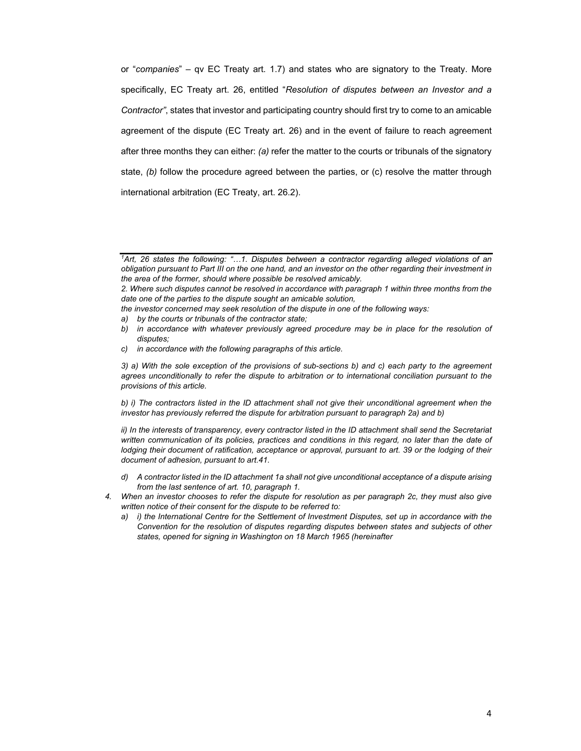or "*companies*" – qv EC Treaty art. 1.7) and states who are signatory to the Treaty. More specifically, EC Treaty art. 26, entitled "*Resolution of disputes between an Investor and a Contractor"*, states that investor and participating country should first try to come to an amicable agreement of the dispute (EC Treaty art. 26) and in the event of failure to reach agreement after three months they can either: *(a)* refer the matter to the courts or tribunals of the signatory state, *(b)* follow the procedure agreed between the parties, or (c) resolve the matter through international arbitration (EC Treaty, art. 26.2).

*the investor concerned may seek resolution of the dispute in one of the following ways:* 

*a) by the courts or tribunals of the contractor state;* 

*c) in accordance with the following paragraphs of this article.* 

*3) a) With the sole exception of the provisions of sub-sections b) and c) each party to the agreement agrees unconditionally to refer the dispute to arbitration or to international conciliation pursuant to the provisions of this article.* 

*b) i) The contractors listed in the ID attachment shall not give their unconditional agreement when the investor has previously referred the dispute for arbitration pursuant to paragraph 2a) and b)* 

*ii)* In the interests of transparency, every contractor listed in the ID attachment shall send the Secretariat *written communication of its policies, practices and conditions in this regard, no later than the date of lodging their document of ratification, acceptance or approval, pursuant to art. 39 or the lodging of their document of adhesion, pursuant to art.41.* 

- *d) A contractor listed in the ID attachment 1a shall not give unconditional acceptance of a dispute arising from the last sentence of art. 10, paragraph 1.*
- *4. When an investor chooses to refer the dispute for resolution as per paragraph 2c, they must also give written notice of their consent for the dispute to be referred to:* 
	- *a) i) the International Centre for the Settlement of Investment Disputes, set up in accordance with the Convention for the resolution of disputes regarding disputes between states and subjects of other states, opened for signing in Washington on 18 March 1965 (hereinafter*

*<sup>1</sup>Art, 26 states the following: "…1. Disputes between a contractor regarding alleged violations of an obligation pursuant to Part III on the one hand, and an investor on the other regarding their investment in the area of the former, should where possible be resolved amicably.* 

*<sup>2.</sup> Where such disputes cannot be resolved in accordance with paragraph 1 within three months from the date one of the parties to the dispute sought an amicable solution,* 

*b) in accordance with whatever previously agreed procedure may be in place for the resolution of disputes;*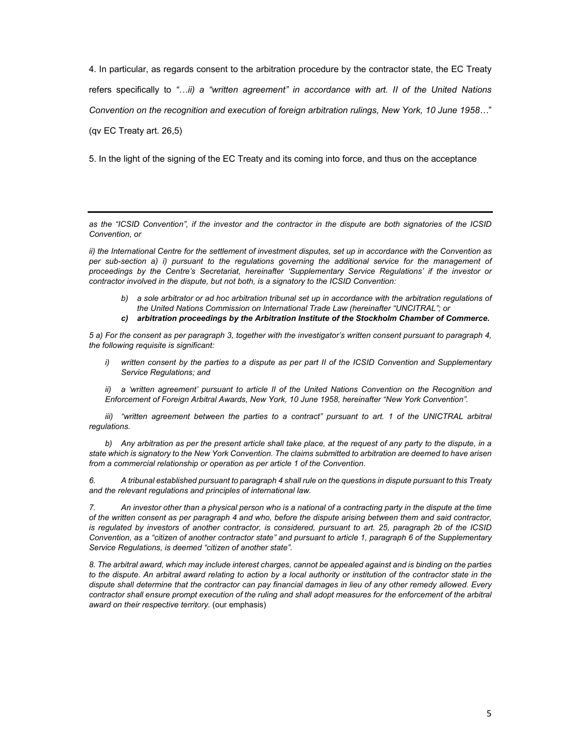4. In particular, as regards consent to the arbitration procedure by the contractor state, the EC Treaty refers specifically to *"…ii) a "written agreement" in accordance with art. II of the United Nations Convention on the recognition and execution of foreign arbitration rulings, New York, 10 June 1958…*"

(qv EC Treaty art. 26,5)

5. In the light of the signing of the EC Treaty and its coming into force, and thus on the acceptance

*as the "ICSID Convention", if the investor and the contractor in the dispute are both signatories of the ICSID Convention, or* 

*ii) the International Centre for the settlement of investment disputes, set up in accordance with the Convention as per sub-section a) i) pursuant to the regulations governing the additional service for the management of proceedings by the Centre's Secretariat, hereinafter 'Supplementary Service Regulations' if the investor or contractor involved in the dispute, but not both, is a signatory to the ICSID Convention:* 

- *b) a sole arbitrator or ad hoc arbitration tribunal set up in accordance with the arbitration regulations of the United Nations Commission on International Trade Law (hereinafter "UNCITRAL"; or*
- *c) arbitration proceedings by the Arbitration Institute of the Stockholm Chamber of Commerce.*

*5 a) For the consent as per paragraph 3, together with the investigator's written consent pursuant to paragraph 4, the following requisite is significant:* 

*i)* written consent by the parties to a dispute as per part II of the ICSID Convention and Supplementary *Service Regulations; and* 

*ii) a 'written agreement' pursuant to article II of the United Nations Convention on the Recognition and Enforcement of Foreign Arbitral Awards, New York, 10 June 1958, hereinafter "New York Convention".* 

iii) "written agreement between the parties to a contract" pursuant to art. 1 of the UNICTRAL arbitral *regulations.* 

*b) Any arbitration as per the present article shall take place, at the request of any party to the dispute, in a state which is signatory to the New York Convention. The claims submitted to arbitration are deemed to have arisen from a commercial relationship or operation as per article 1 of the Convention.* 

*6. A tribunal established pursuant to paragraph 4 shall rule on the questions in dispute pursuant to this Treaty and the relevant regulations and principles of international law.* 

*7. An investor other than a physical person who is a national of a contracting party in the dispute at the time of the written consent as per paragraph 4 and who, before the dispute arising between them and said contractor, is regulated by investors of another contractor, is considered, pursuant to art. 25, paragraph 2b of the ICSID Convention, as a "citizen of another contractor state" and pursuant to article 1, paragraph 6 of the Supplementary Service Regulations, is deemed "citizen of another state".* 

*8. The arbitral award, which may include interest charges, cannot be appealed against and is binding on the parties to the dispute. An arbitral award relating to action by a local authority or institution of the contractor state in the dispute shall determine that the contractor can pay financial damages in lieu of any other remedy allowed. Every*  contractor shall ensure prompt execution of the ruling and shall adopt measures for the enforcement of the arbitral *award on their resp*ec*tive territory.* (our emphasis)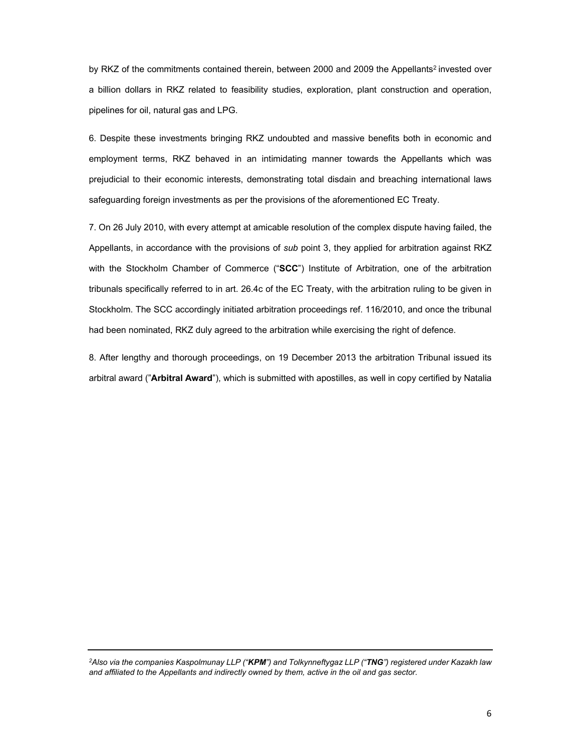by RKZ of the commitments contained therein, between 2000 and 2009 the Appellants<sup>2</sup> invested over a billion dollars in RKZ related to feasibility studies, exploration, plant construction and operation, pipelines for oil, natural gas and LPG.

6. Despite these investments bringing RKZ undoubted and massive benefits both in economic and employment terms, RKZ behaved in an intimidating manner towards the Appellants which was prejudicial to their economic interests, demonstrating total disdain and breaching international laws safeguarding foreign investments as per the provisions of the aforementioned EC Treaty.

7. On 26 July 2010, with every attempt at amicable resolution of the complex dispute having failed, the Appellants, in accordance with the provisions of *sub* point 3, they applied for arbitration against RKZ with the Stockholm Chamber of Commerce ("**SCC**") Institute of Arbitration, one of the arbitration tribunals specifically referred to in art. 26.4c of the EC Treaty, with the arbitration ruling to be given in Stockholm. The SCC accordingly initiated arbitration proceedings ref. 116/2010, and once the tribunal had been nominated, RKZ duly agreed to the arbitration while exercising the right of defence.

8. After lengthy and thorough proceedings, on 19 December 2013 the arbitration Tribunal issued its arbitral award ("**Arbitral Award**"), which is submitted with apostilles, as well in copy certified by Natalia

*2Also via the companies Kaspolmunay LLP ("KPM") and Tolkynneftygaz LLP ("TNG") registered under Kazakh law and affiliated to the Appellants and indirectly owned by them, active in the oil and gas sector.*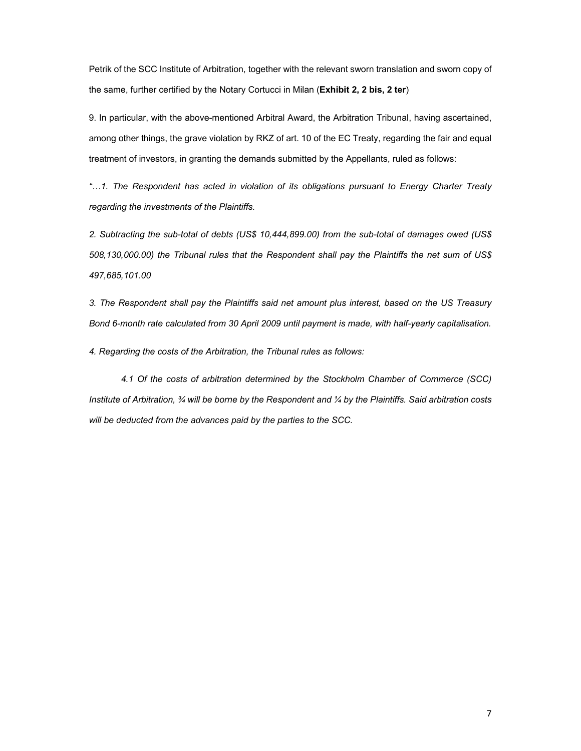Petrik of the SCC Institute of Arbitration, together with the relevant sworn translation and sworn copy of the same, further certified by the Notary Cortucci in Milan (**Exhibit 2, 2 bis, 2 ter**)

9. In particular, with the above-mentioned Arbitral Award, the Arbitration Tribunal, having ascertained, among other things, the grave violation by RKZ of art. 10 of the EC Treaty, regarding the fair and equal treatment of investors, in granting the demands submitted by the Appellants, ruled as follows:

*"…1. The Respondent has acted in violation of its obligations pursuant to Energy Charter Treaty regarding the investments of the Plaintiffs.* 

*2. Subtracting the sub-total of debts (US\$ 10,444,899.00) from the sub-total of damages owed (US\$ 508,130,000.00) the Tribunal rules that the Respondent shall pay the Plaintiffs the net sum of US\$ 497,685,101.00* 

*3. The Respondent shall pay the Plaintiffs said net amount plus interest, based on the US Treasury Bond 6-month rate calculated from 30 April 2009 until payment is made, with half-yearly capitalisation.* 

*4. Regarding the costs of the Arbitration, the Tribunal rules as follows:* 

 *4.1 Of the costs of arbitration determined by the Stockholm Chamber of Commerce (SCC) Institute of Arbitration, ¾ will be borne by the Respondent and ¼ by the Plaintiffs. Said arbitration costs will be deducted from the advances paid by the parties to the SCC.*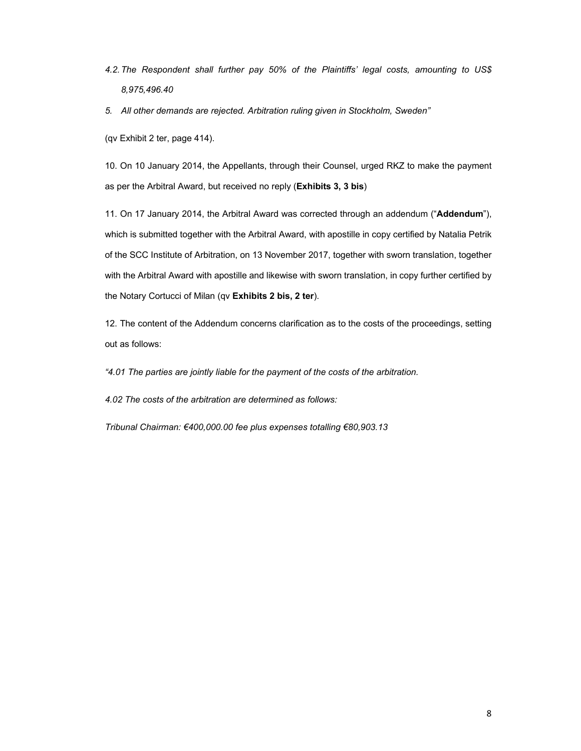- *4.2. The Respondent shall further pay 50% of the Plaintiffs' legal costs, amounting to US\$ 8,975,496.40*
- *5. All other demands are rejected. Arbitration ruling given in Stockholm, Sweden"*

(qv Exhibit 2 ter, page 414).

10. On 10 January 2014, the Appellants, through their Counsel, urged RKZ to make the payment as per the Arbitral Award, but received no reply (**Exhibits 3, 3 bis**)

11. On 17 January 2014, the Arbitral Award was corrected through an addendum ("**Addendum**"), which is submitted together with the Arbitral Award, with apostille in copy certified by Natalia Petrik of the SCC Institute of Arbitration, on 13 November 2017, together with sworn translation, together with the Arbitral Award with apostille and likewise with sworn translation, in copy further certified by the Notary Cortucci of Milan (qv **Exhibits 2 bis, 2 ter**).

12. The content of the Addendum concerns clarification as to the costs of the proceedings, setting out as follows:

*"4.01 The parties are jointly liable for the payment of the costs of the arbitration.* 

*4.02 The costs of the arbitration are determined as follows:* 

*Tribunal Chairman: €400,000.00 fee plus expenses totalling €80,903.13*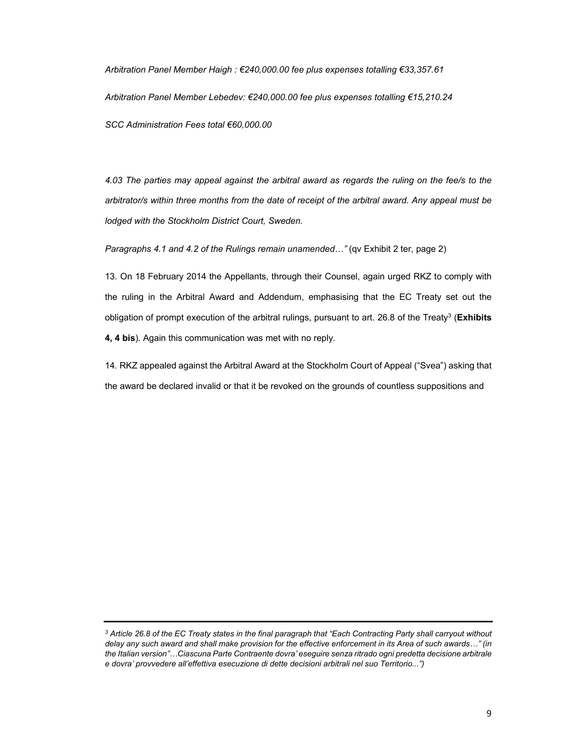*Arbitration Panel Member Haigh : €240,000.00 fee plus expenses totalling €33,357.61 Arbitration Panel Member Lebedev: €240,000.00 fee plus expenses totalling €15,210.24 SCC Administration Fees total €60,000.00* 

*4.03 The parties may appeal against the arbitral award as regards the ruling on the fee/s to the arbitrator/s within three months from the date of receipt of the arbitral award. Any appeal must be lodged with the Stockholm District Court, Sweden.* 

*Paragraphs 4.1 and 4.2 of the Rulings remain unamended…"* (qv Exhibit 2 ter, page 2)

13. On 18 February 2014 the Appellants, through their Counsel, again urged RKZ to comply with the ruling in the Arbitral Award and Addendum, emphasising that the EC Treaty set out the obligation of prompt execution of the arbitral rulings, pursuant to art. 26.8 of the Treaty3 (**Exhibits 4, 4 bis**). Again this communication was met with no reply.

14. RKZ appealed against the Arbitral Award at the Stockholm Court of Appeal ("Svea") asking that the award be declared invalid or that it be revoked on the grounds of countless suppositions and

*<sup>3</sup> Article 26.8 of the EC Treaty states in the final paragraph that "Each Contracting Party shall carryout without delay any such award and shall make provision for the effective enforcement in its Area of such awards…" (in the Italian version"…Ciascuna Parte Contraente dovra' eseguire senza ritrado ogni predetta decisione arbitrale e dovra' provvedere all'effettiva esecuzione di dette decisioni arbitrali nel suo Territorio...")*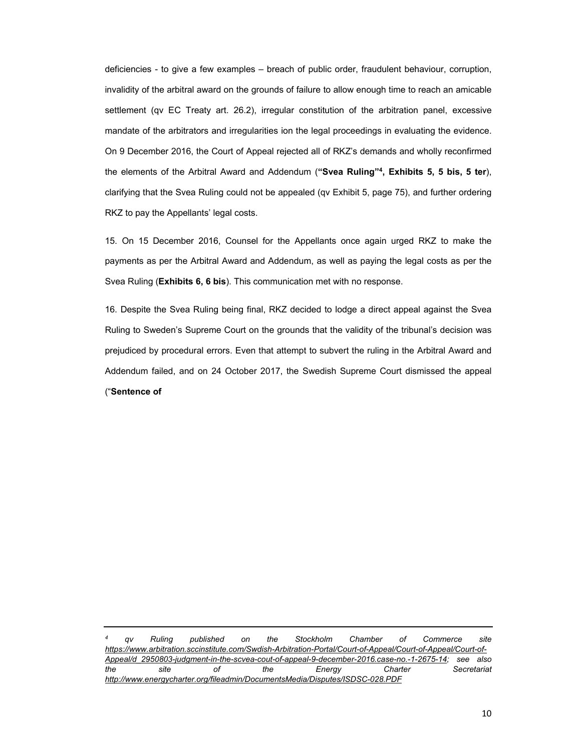deficiencies - to give a few examples – breach of public order, fraudulent behaviour, corruption, invalidity of the arbitral award on the grounds of failure to allow enough time to reach an amicable settlement (qv EC Treaty art. 26.2), irregular constitution of the arbitration panel, excessive mandate of the arbitrators and irregularities ion the legal proceedings in evaluating the evidence. On 9 December 2016, the Court of Appeal rejected all of RKZ's demands and wholly reconfirmed the elements of the Arbitral Award and Addendum (**"Svea Ruling"4, Exhibits 5, 5 bis, 5 ter**), clarifying that the Svea Ruling could not be appealed (qv Exhibit 5, page 75), and further ordering RKZ to pay the Appellants' legal costs.

15. On 15 December 2016, Counsel for the Appellants once again urged RKZ to make the payments as per the Arbitral Award and Addendum, as well as paying the legal costs as per the Svea Ruling (**Exhibits 6, 6 bis**). This communication met with no response.

16. Despite the Svea Ruling being final, RKZ decided to lodge a direct appeal against the Svea Ruling to Sweden's Supreme Court on the grounds that the validity of the tribunal's decision was prejudiced by procedural errors. Even that attempt to subvert the ruling in the Arbitral Award and Addendum failed, and on 24 October 2017, the Swedish Supreme Court dismissed the appeal ("**Sentence of**

*<sup>4</sup> qv Ruling published on the Stockholm Chamber of Commerce site https://www.arbitration.sccinstitute.com/Swdish-Arbitration-Portal/Court-of-Appeal/Court-of-Appeal/Court-of-Appeal/d\_2950803-judgment-in-the-scvea-cout-of-appeal-9-december-2016.case-no.-1-2675-14; see also the site of the Energy Charter Secretariat http://www.energycharter.org/fileadmin/DocumentsMedia/Disputes/ISDSC-028.PDF*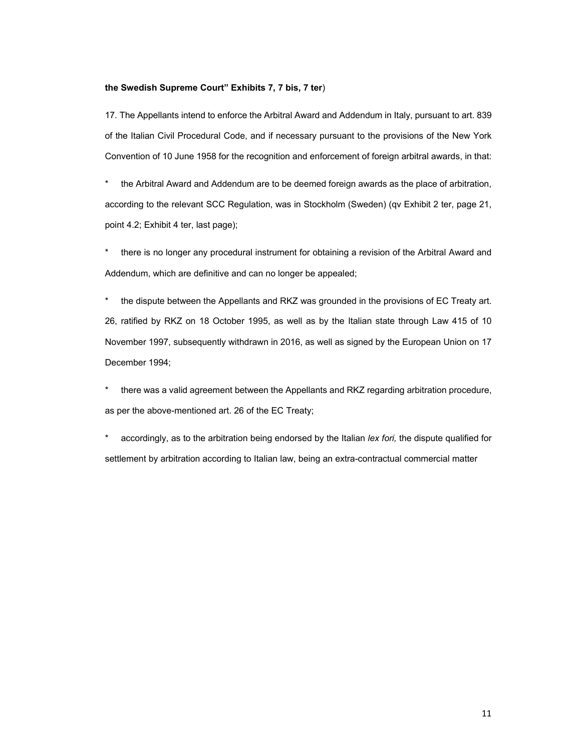## **the Swedish Supreme Court" Exhibits 7, 7 bis, 7 ter**)

17. The Appellants intend to enforce the Arbitral Award and Addendum in Italy, pursuant to art. 839 of the Italian Civil Procedural Code, and if necessary pursuant to the provisions of the New York Convention of 10 June 1958 for the recognition and enforcement of foreign arbitral awards, in that:

\* the Arbitral Award and Addendum are to be deemed foreign awards as the place of arbitration, according to the relevant SCC Regulation, was in Stockholm (Sweden) (qv Exhibit 2 ter, page 21, point 4.2; Exhibit 4 ter, last page);

\* there is no longer any procedural instrument for obtaining a revision of the Arbitral Award and Addendum, which are definitive and can no longer be appealed;

\* the dispute between the Appellants and RKZ was grounded in the provisions of EC Treaty art. 26, ratified by RKZ on 18 October 1995, as well as by the Italian state through Law 415 of 10 November 1997, subsequently withdrawn in 2016, as well as signed by the European Union on 17 December 1994;

\* there was a valid agreement between the Appellants and RKZ regarding arbitration procedure, as per the above-mentioned art. 26 of the EC Treaty;

\* accordingly, as to the arbitration being endorsed by the Italian *lex fori,* the dispute qualified for settlement by arbitration according to Italian law, being an extra-contractual commercial matter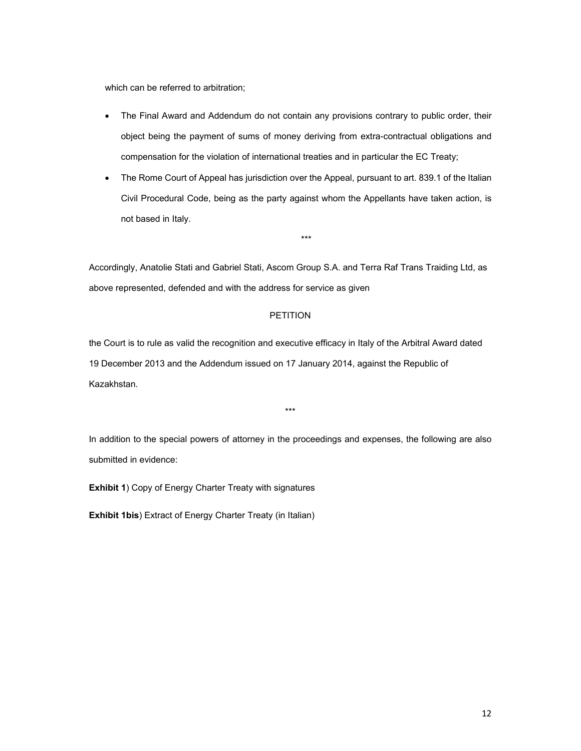which can be referred to arbitration;

- The Final Award and Addendum do not contain any provisions contrary to public order, their object being the payment of sums of money deriving from extra-contractual obligations and compensation for the violation of international treaties and in particular the EC Treaty;
- The Rome Court of Appeal has jurisdiction over the Appeal, pursuant to art. 839.1 of the Italian Civil Procedural Code, being as the party against whom the Appellants have taken action, is not based in Italy.

\*\*\*

Accordingly, Anatolie Stati and Gabriel Stati, Ascom Group S.A. and Terra Raf Trans Traiding Ltd, as above represented, defended and with the address for service as given

## PETITION

the Court is to rule as valid the recognition and executive efficacy in Italy of the Arbitral Award dated 19 December 2013 and the Addendum issued on 17 January 2014, against the Republic of Kazakhstan.

In addition to the special powers of attorney in the proceedings and expenses, the following are also submitted in evidence:

\*\*\*

**Exhibit 1**) Copy of Energy Charter Treaty with signatures

**Exhibit 1bis**) Extract of Energy Charter Treaty (in Italian)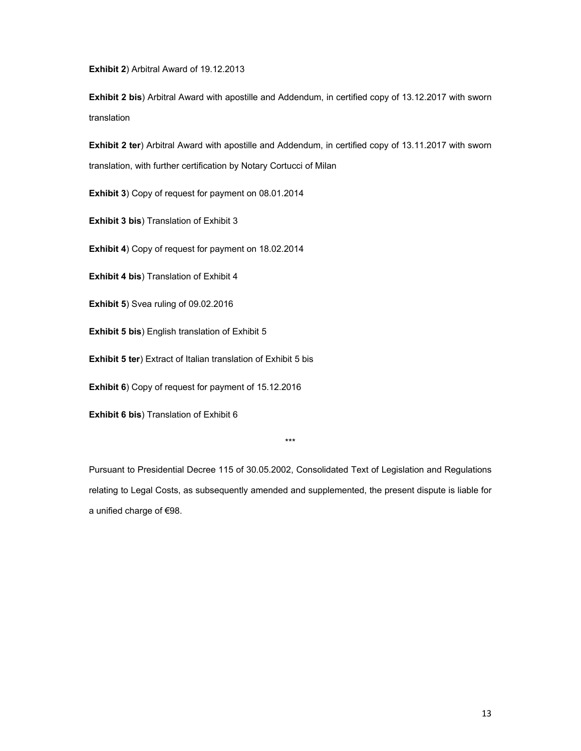**Exhibit 2**) Arbitral Award of 19.12.2013

**Exhibit 2 bis**) Arbitral Award with apostille and Addendum, in certified copy of 13.12.2017 with sworn translation

**Exhibit 2 ter**) Arbitral Award with apostille and Addendum, in certified copy of 13.11.2017 with sworn translation, with further certification by Notary Cortucci of Milan

**Exhibit 3**) Copy of request for payment on 08.01.2014

**Exhibit 3 bis**) Translation of Exhibit 3

**Exhibit 4**) Copy of request for payment on 18.02.2014

**Exhibit 4 bis**) Translation of Exhibit 4

**Exhibit 5**) Svea ruling of 09.02.2016

**Exhibit 5 bis**) English translation of Exhibit 5

**Exhibit 5 ter**) Extract of Italian translation of Exhibit 5 bis

**Exhibit 6**) Copy of request for payment of 15.12.2016

**Exhibit 6 bis**) Translation of Exhibit 6

\*\*\*

Pursuant to Presidential Decree 115 of 30.05.2002, Consolidated Text of Legislation and Regulations relating to Legal Costs, as subsequently amended and supplemented, the present dispute is liable for a unified charge of €98.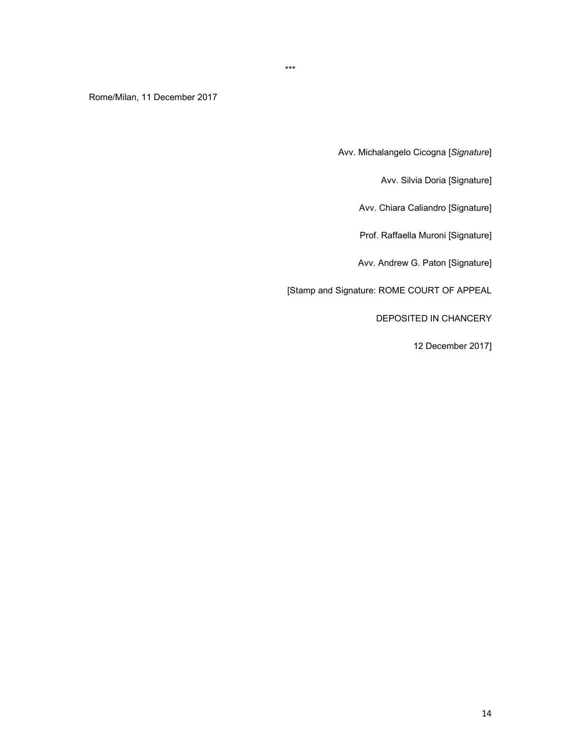\*\*\*

Rome/Milan, 11 December 2017

Avv. Michalangelo Cicogna [*Signature*]

Avv. Silvia Doria [Signature]

Avv. Chiara Caliandro [Signature]

Prof. Raffaella Muroni [Signature]

Avv. Andrew G. Paton [Signature]

[Stamp and Signature: ROME COURT OF APPEAL

DEPOSITED IN CHANCERY

12 December 2017]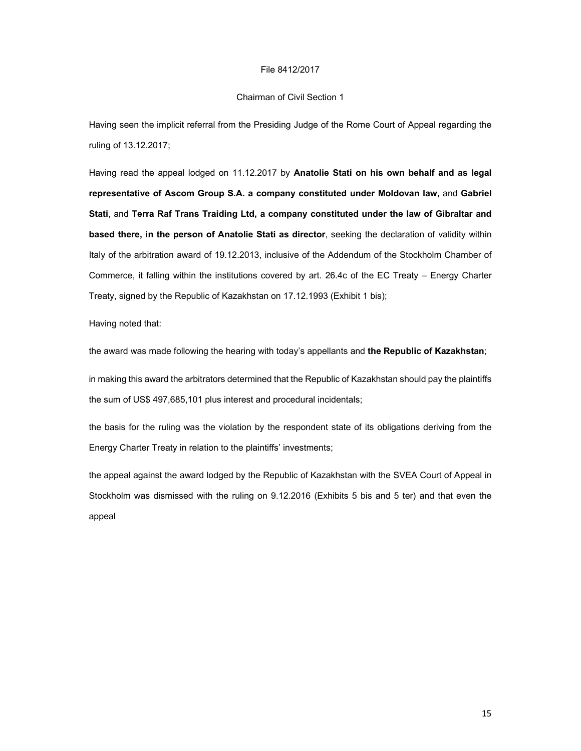#### File 8412/2017

#### Chairman of Civil Section 1

Having seen the implicit referral from the Presiding Judge of the Rome Court of Appeal regarding the ruling of 13.12.2017;

Having read the appeal lodged on 11.12.2017 by **Anatolie Stati on his own behalf and as legal representative of Ascom Group S.A. a company constituted under Moldovan law,** and **Gabriel Stati**, and **Terra Raf Trans Traiding Ltd, a company constituted under the law of Gibraltar and based there, in the person of Anatolie Stati as director**, seeking the declaration of validity within Italy of the arbitration award of 19.12.2013, inclusive of the Addendum of the Stockholm Chamber of Commerce, it falling within the institutions covered by art. 26.4c of the EC Treaty – Energy Charter Treaty, signed by the Republic of Kazakhstan on 17.12.1993 (Exhibit 1 bis);

Having noted that:

the award was made following the hearing with today's appellants and **the Republic of Kazakhstan**;

in making this award the arbitrators determined that the Republic of Kazakhstan should pay the plaintiffs the sum of US\$ 497,685,101 plus interest and procedural incidentals;

the basis for the ruling was the violation by the respondent state of its obligations deriving from the Energy Charter Treaty in relation to the plaintiffs' investments;

the appeal against the award lodged by the Republic of Kazakhstan with the SVEA Court of Appeal in Stockholm was dismissed with the ruling on 9.12.2016 (Exhibits 5 bis and 5 ter) and that even the appeal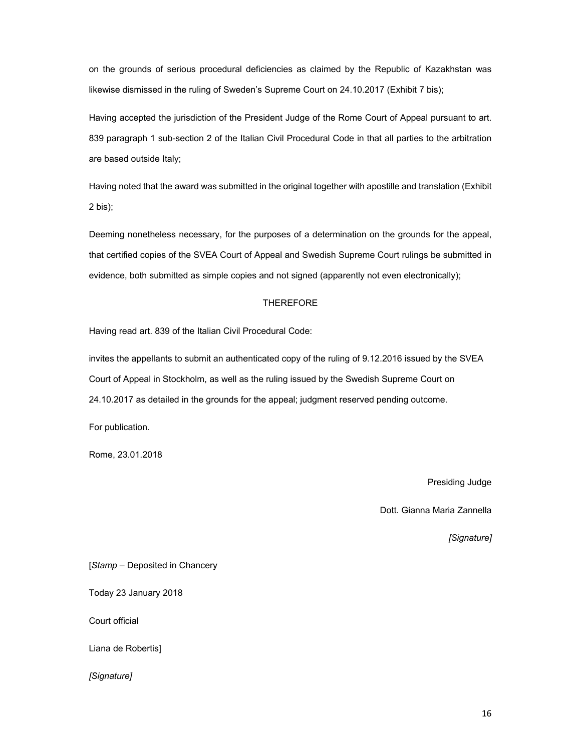on the grounds of serious procedural deficiencies as claimed by the Republic of Kazakhstan was likewise dismissed in the ruling of Sweden's Supreme Court on 24.10.2017 (Exhibit 7 bis);

Having accepted the jurisdiction of the President Judge of the Rome Court of Appeal pursuant to art. 839 paragraph 1 sub-section 2 of the Italian Civil Procedural Code in that all parties to the arbitration are based outside Italy;

Having noted that the award was submitted in the original together with apostille and translation (Exhibit 2 bis);

Deeming nonetheless necessary, for the purposes of a determination on the grounds for the appeal, that certified copies of the SVEA Court of Appeal and Swedish Supreme Court rulings be submitted in evidence, both submitted as simple copies and not signed (apparently not even electronically);

# THEREFORE

Having read art. 839 of the Italian Civil Procedural Code:

invites the appellants to submit an authenticated copy of the ruling of 9.12.2016 issued by the SVEA Court of Appeal in Stockholm, as well as the ruling issued by the Swedish Supreme Court on 24.10.2017 as detailed in the grounds for the appeal; judgment reserved pending outcome.

For publication.

Rome, 23.01.2018

Presiding Judge

Dott. Gianna Maria Zannella

*[Signature]* 

[*Stamp* – Deposited in Chancery

Today 23 January 2018

Court official

Liana de Robertis]

*[Signature]*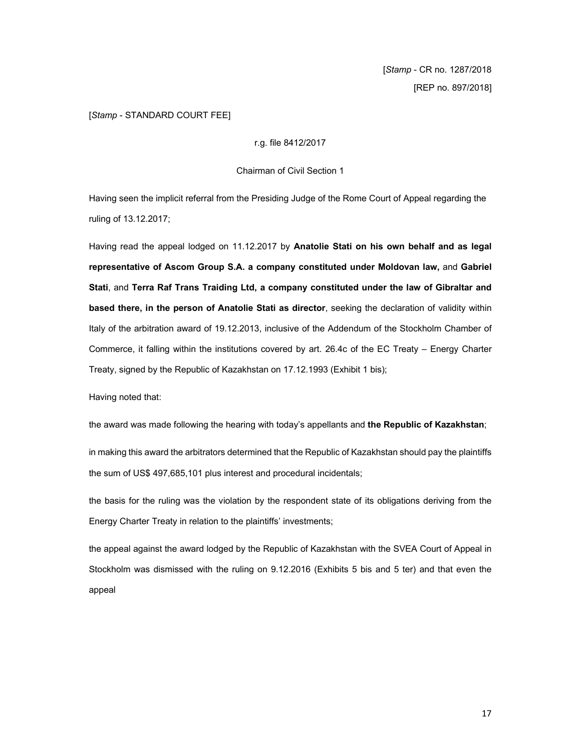[*Stamp* - CR no. 1287/2018 [REP no. 897/2018]

# [*Stamp* - STANDARD COURT FEE]

r.g. file 8412/2017

Chairman of Civil Section 1

Having seen the implicit referral from the Presiding Judge of the Rome Court of Appeal regarding the ruling of 13.12.2017;

Having read the appeal lodged on 11.12.2017 by **Anatolie Stati on his own behalf and as legal representative of Ascom Group S.A. a company constituted under Moldovan law,** and **Gabriel Stati**, and **Terra Raf Trans Traiding Ltd, a company constituted under the law of Gibraltar and based there, in the person of Anatolie Stati as director**, seeking the declaration of validity within Italy of the arbitration award of 19.12.2013, inclusive of the Addendum of the Stockholm Chamber of Commerce, it falling within the institutions covered by art. 26.4c of the EC Treaty – Energy Charter Treaty, signed by the Republic of Kazakhstan on 17.12.1993 (Exhibit 1 bis);

Having noted that:

the award was made following the hearing with today's appellants and **the Republic of Kazakhstan**;

in making this award the arbitrators determined that the Republic of Kazakhstan should pay the plaintiffs the sum of US\$ 497,685,101 plus interest and procedural incidentals;

the basis for the ruling was the violation by the respondent state of its obligations deriving from the Energy Charter Treaty in relation to the plaintiffs' investments;

the appeal against the award lodged by the Republic of Kazakhstan with the SVEA Court of Appeal in Stockholm was dismissed with the ruling on 9.12.2016 (Exhibits 5 bis and 5 ter) and that even the appeal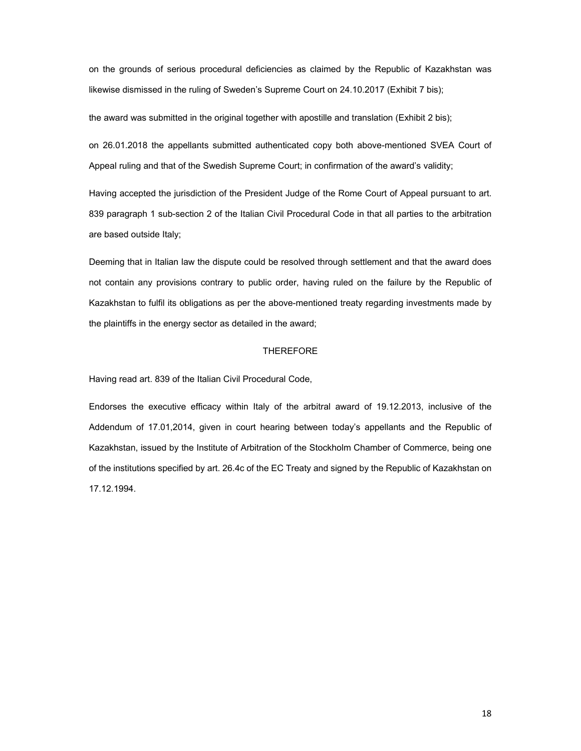on the grounds of serious procedural deficiencies as claimed by the Republic of Kazakhstan was likewise dismissed in the ruling of Sweden's Supreme Court on 24.10.2017 (Exhibit 7 bis);

the award was submitted in the original together with apostille and translation (Exhibit 2 bis);

on 26.01.2018 the appellants submitted authenticated copy both above-mentioned SVEA Court of Appeal ruling and that of the Swedish Supreme Court; in confirmation of the award's validity;

Having accepted the jurisdiction of the President Judge of the Rome Court of Appeal pursuant to art. 839 paragraph 1 sub-section 2 of the Italian Civil Procedural Code in that all parties to the arbitration are based outside Italy;

Deeming that in Italian law the dispute could be resolved through settlement and that the award does not contain any provisions contrary to public order, having ruled on the failure by the Republic of Kazakhstan to fulfil its obligations as per the above-mentioned treaty regarding investments made by the plaintiffs in the energy sector as detailed in the award;

## THEREFORE

Having read art. 839 of the Italian Civil Procedural Code,

Endorses the executive efficacy within Italy of the arbitral award of 19.12.2013, inclusive of the Addendum of 17.01,2014, given in court hearing between today's appellants and the Republic of Kazakhstan, issued by the Institute of Arbitration of the Stockholm Chamber of Commerce, being one of the institutions specified by art. 26.4c of the EC Treaty and signed by the Republic of Kazakhstan on 17.12.1994.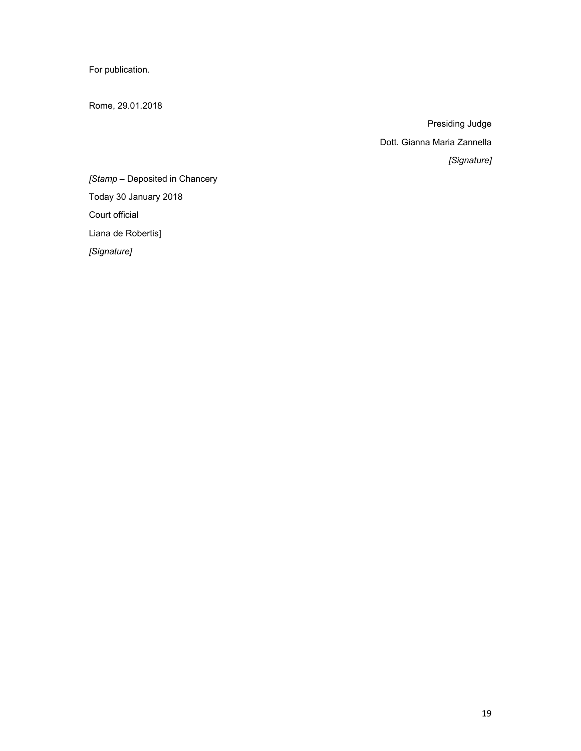For publication.

Rome, 29.01.2018

Presiding Judge Dott. Gianna Maria Zannella *[Signature]* 

*[Stamp* – Deposited in Chancery Today 30 January 2018 Court official Liana de Robertis]

*[Signature]*